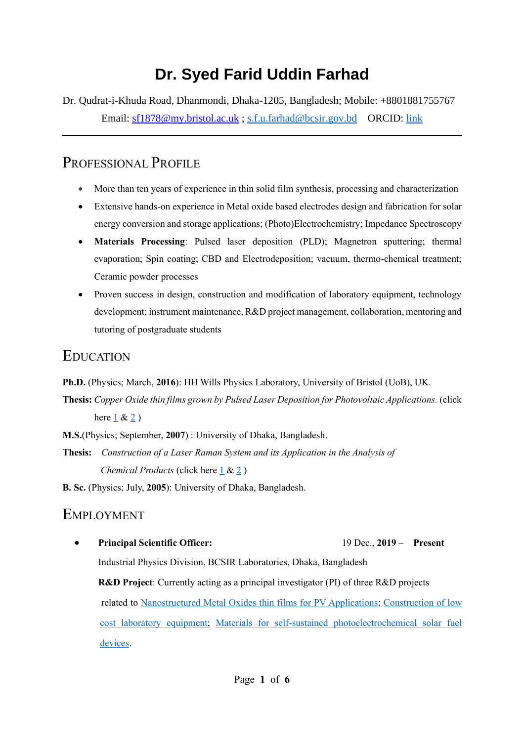# **Dr. Syed Farid Uddin Farhad**

Dr. Qudrat-i-Khuda Road, Dhanmondi, Dhaka-1205, Bangladesh; Mobile: +8801881755767 Email: [sf1878@my.bristol.ac.uk](mailto:sf1878@my.bristol.ac.uk) ; [s.f.u.farhad@bcsir.gov.bd](mailto:s.f.u.farhad@bcsir.gov.bd) ORCID: [link](https://orcid.org/0000-0002-0618-8679)

# PROFESSIONAL PROFILE

- More than ten years of experience in thin solid film synthesis, processing and characterization
- Extensive hands-on experience in Metal oxide based electrodes design and fabrication for solar energy conversion and storage applications; (Photo)Electrochemistry; Impedance Spectroscopy
- **Materials Processing**: Pulsed laser deposition (PLD); Magnetron sputtering; thermal evaporation; Spin coating; CBD and Electrodeposition; vacuum, thermo-chemical treatment; Ceramic powder processes
- Proven success in design, construction and modification of laboratory equipment, technology development; instrument maintenance, R&D project management, collaboration, mentoring and tutoring of postgraduate students

# EDUCATION

- **Ph.D.** (Physics; March, **2016**): HH Wills Physics Laboratory, University of Bristol (UoB), UK.
- **Thesis:** *Copper Oxide thin films grown by Pulsed Laser Deposition for Photovoltaic Applications.* (click here  $1 & 2$  $1 & 2$ )
- **M.S.**(Physics; September, **2007**) : University of Dhaka, Bangladesh.
- **Thesis:** *Construction of a Laser Raman System and its Application in the Analysis of Chemical Products* (click here [1](https://www.researchgate.net/publication/240808062_Construction_and_Operation_of_a_dispersive_Laser_Raman_Spectrograph_using_interference_filter) & [2](https://scialert.net/fulltextmobile/?doi=jas.2009.1538.1543) )
- **B. Sc.** (Physics; July, **2005**): University of Dhaka, Bangladesh.

## EMPLOYMENT

• **Principal Scientific Officer:** 19 Dec., **2019** – **Present**  Industrial Physics Division, BCSIR Laboratories, Dhaka, Bangladesh **R&D Project**: Currently acting as a principal investigator (PI) of three R&D projects related to [Nanostructured Metal Oxides thin films for PV Applications;](https://scholar.google.com/citations?hl=en&user=ntgFFMsAAAAJ&view_op=list_works&sortby=pubdate) [Construction of low](https://dhakalabs.bcsir.gov.bd/site/page/1cb320e7-229f-4aa8-ab32-5701b1a2bf79/-)  [cost laboratory equipment;](https://dhakalabs.bcsir.gov.bd/site/page/1cb320e7-229f-4aa8-ab32-5701b1a2bf79/-) [Materials for self-sustained photoelectrochemical solar fuel](https://dhakalabs.bcsir.gov.bd/site/page/f0b224bd-80a3-4fc8-97bc-2037db1e1a2b)  [devices.](https://dhakalabs.bcsir.gov.bd/site/page/f0b224bd-80a3-4fc8-97bc-2037db1e1a2b)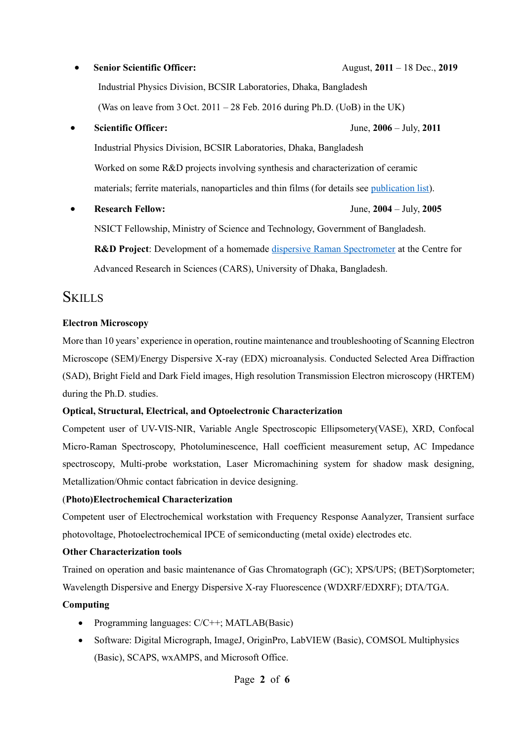# • **Senior Scientific Officer:** August, **2011** – 18 Dec., **2019**

Industrial Physics Division, BCSIR Laboratories, Dhaka, Bangladesh (Was on leave from  $3$  Oct.  $2011 - 28$  Feb.  $2016$  during Ph.D. (UoB) in the UK)

• **Scientific Officer:** June, **2006** – July, **2011**

Industrial Physics Division, BCSIR Laboratories, Dhaka, Bangladesh Worked on some R&D projects involving synthesis and characterization of ceramic materials; ferrite materials, nanoparticles and thin films (for details see [publication list\)](https://scholar.google.com/citations?user=ntgFFMsAAAAJ&hl=en).

• **Research Fellow:** June, **2004** – July, **2005** NSICT Fellowship, Ministry of Science and Technology, Government of Bangladesh. **R&D Project**: Development of a homemade [dispersive Raman Spectrometer](https://www.banglajol.info/index.php/JBAS/article/view/2451) at the Centre for Advanced Research in Sciences (CARS), University of Dhaka, Bangladesh.

## **SKILLS**

#### **Electron Microscopy**

More than 10 years' experience in operation, routine maintenance and troubleshooting of Scanning Electron Microscope (SEM)/Energy Dispersive X-ray (EDX) microanalysis. Conducted Selected Area Diffraction (SAD), Bright Field and Dark Field images, High resolution Transmission Electron microscopy (HRTEM) during the Ph.D. studies.

#### **Optical, Structural, Electrical, and Optoelectronic Characterization**

Competent user of UV-VIS-NIR, Variable Angle Spectroscopic Ellipsometery(VASE), XRD, Confocal Micro-Raman Spectroscopy, Photoluminescence, Hall coefficient measurement setup, AC Impedance spectroscopy, Multi-probe workstation, Laser Micromachining system for shadow mask designing, Metallization/Ohmic contact fabrication in device designing.

#### (**Photo)Electrochemical Characterization**

Competent user of Electrochemical workstation with Frequency Response Aanalyzer, Transient surface photovoltage, Photoelectrochemical IPCE of semiconducting (metal oxide) electrodes etc.

#### **Other Characterization tools**

Trained on operation and basic maintenance of Gas Chromatograph (GC); XPS/UPS; (BET)Sorptometer; Wavelength Dispersive and Energy Dispersive X-ray Fluorescence (WDXRF/EDXRF); DTA/TGA.

#### **Computing**

- Programming languages: C/C++; MATLAB(Basic)
- Software: Digital Micrograph, ImageJ, OriginPro, LabVIEW (Basic), COMSOL Multiphysics (Basic), SCAPS, wxAMPS, and Microsoft Office.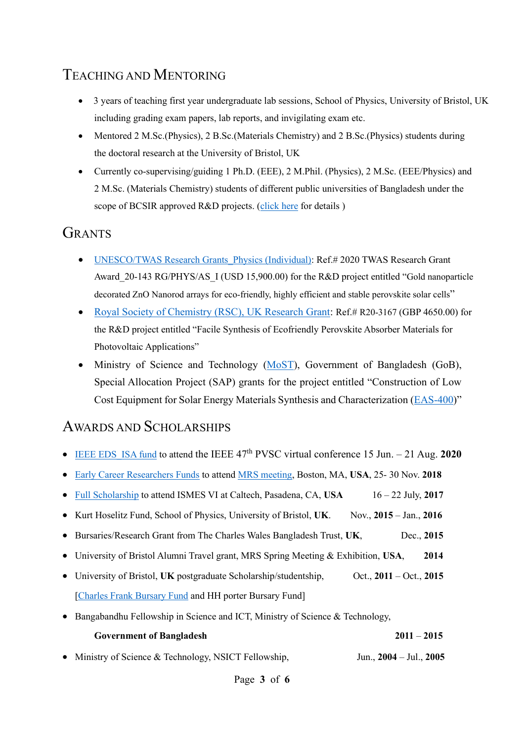# TEACHING AND MENTORING

- 3 years of teaching first year undergraduate lab sessions, School of Physics, University of Bristol, UK including grading exam papers, lab reports, and invigilating exam etc.
- Mentored 2 M.Sc.(Physics), 2 B.Sc.(Materials Chemistry) and 2 B.Sc.(Physics) students during the doctoral research at the University of Bristol, UK
- Currently co-supervising/guiding 1 Ph.D. (EEE), 2 M.Phil. (Physics), 2 M.Sc. (EEE/Physics) and 2 M.Sc. (Materials Chemistry) students of different public universities of Bangladesh under the scope of BCSIR approved R&D projects. [\(click here](http://dhakalabs.bcsir.gov.bd/site/page/1cb320e7-229f-4aa8-ab32-5701b1a2bf79/-) for details)

# **GRANTS**

- [UNESCO/TWAS Research Grants\\_Physics \(Individual\):](https://twas.org/opportunity/twas-research-grants-programme-basic-sciences-individuals) Ref.# 2020 TWAS Research Grant Award 20-143 RG/PHYS/AS I (USD 15,900.00) for the R&D project entitled "Gold nanoparticle [decorated ZnO Nanorod arrays for eco-friendly, highly efficient and](https://dhakalabs.bcsir.gov.bd/site/page/f0b224bd-80a3-4fc8-97bc-2037db1e1a2b) stable perovskite solar cells"
- [Royal Society of Chemistry \(RSC\), UK Research Grant:](https://www.rsc.org/prizes-funding/funding/research-fund/) Ref.# R20-3167 (GBP 4650.00) for the R&D project entitled "Facile Synthesis of Ecofriendly Perovskite Absorber Materials for Photovoltaic Applications"
- Ministry of Science and Technology [\(MoST\)](https://most.portal.gov.bd/sites/default/files/files/most.portal.gov.bd/npfblock/2020-2021%20Final%20Selected%20Project.pdf), Government of Bangladesh (GoB), Special Allocation Project (SAP) grants for the project entitled "Construction of Low Cost Equipment for Solar Energy Materials Synthesis and Characterization [\(EAS-400\)](https://most.portal.gov.bd/sites/default/files/files/most.portal.gov.bd/npfblock/2020-2021%20Final%20Selected%20Project.pdf)"

## AWARDS AND SCHOLARSHIPS

- IEEE EDS ISA fund to attend the IEEE  $47<sup>th</sup>$  PVSC virtual conference 15 Jun. 21 Aug. **2020**
- [Early Career Researchers Funds](https://dhakalabs.bcsir.gov.bd/sites/default/files/files/dhakalabs.bcsir.gov.bd/page/9b220ef2_161f_45ab_8490_9c371c3f1462/2021-11-17-18-12-b4d9a4ad552af8683d882e517670a281.pdf) to attend [MRS meeting,](https://www.mrs.org/docs/default-source/meetings-events/fall-meetings/2018/symposium-session-pdfs/symposium-et11.pdf?sfvrsn=6d6ebb10_3) Boston, MA, **USA**, 25- 30 Nov. **2018**
- [Full Scholarship](https://dhakalabs.bcsir.gov.bd/sites/default/files/files/dhakalabs.bcsir.gov.bd/page/9b220ef2_161f_45ab_8490_9c371c3f1462/2021-11-17-17-46-ea25d09ab9db416efa5221ef438b1cc9.JPG) to attend ISMES VI at Caltech, Pasadena, CA, USA 16 22 July, 2017
- Kurt Hoselitz Fund, School of Physics, University of Bristol, **UK**. Nov., **2015** Jan., **2016**
- Bursaries/Research Grant from The Charles Wales Bangladesh Trust, **UK**, Dec., **2015**
- University of Bristol Alumni Travel grant, MRS Spring Meeting & Exhibition, **USA**, **2014**
- University of Bristol, **UK** postgraduate Scholarship/studentship, Oct., **2011** Oct., **2015** [\[Charles Frank Bursary Fund](https://dhakalabs.bcsir.gov.bd/sites/default/files/files/dhakalabs.bcsir.gov.bd/page/9b220ef2_161f_45ab_8490_9c371c3f1462/2021-11-18-17-47-0151ccc9a035e82647f8a1a4275ce475.pdf) and HH porter Bursary Fund]
- Bangabandhu Fellowship in Science and ICT, Ministry of Science & Technology,

| <b>Government of Bangladesh</b>                       | $2011 - 2015$               |
|-------------------------------------------------------|-----------------------------|
| • Ministry of Science & Technology, NSICT Fellowship, | Jun., $2004 -$ Jul., $2005$ |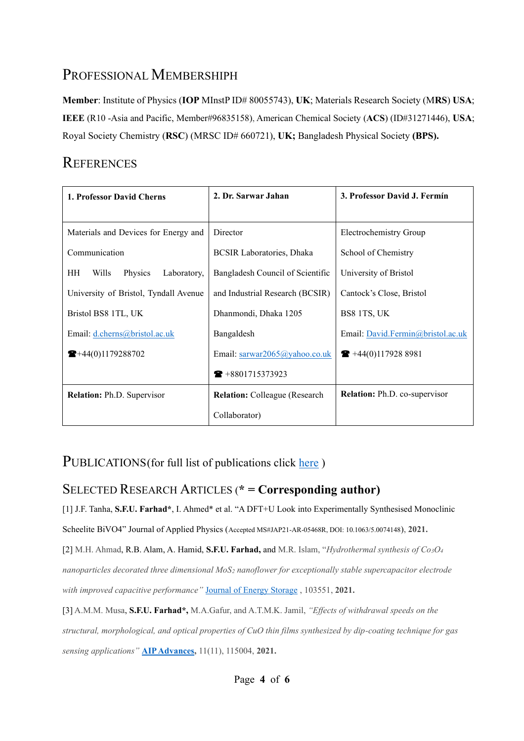# PROFESSIONAL MEMBERSHIPH

**Member**: Institute of Physics (**IOP** MInstP ID# 80055743), **UK**; Materials Research Society (M**RS**) **USA**; **IEEE** (R10 -Asia and Pacific, Member#96835158), American Chemical Society (**ACS**) (ID#31271446), **USA**; Royal Society Chemistry (**RSC**) (MRSC ID# 660721), **UK;** Bangladesh Physical Society **(BPS).**

# **REFERENCES**

| 1. Professor David Cherns                    | 2. Dr. Sarwar Jahan                   | 3. Professor David J. Fermín         |
|----------------------------------------------|---------------------------------------|--------------------------------------|
|                                              |                                       |                                      |
| Materials and Devices for Energy and         | Director                              | Electrochemistry Group               |
| Communication                                | <b>BCSIR Laboratories, Dhaka</b>      | School of Chemistry                  |
| <b>HH</b><br>Wills<br>Physics<br>Laboratory, | Bangladesh Council of Scientific      | University of Bristol                |
| University of Bristol, Tyndall Avenue        | and Industrial Research (BCSIR)       | Cantock's Close, Bristol             |
| Bristol BS8 1TL, UK                          | Dhanmondi, Dhaka 1205                 | BS8 1TS, UK                          |
| Email: d.cherns@bristol.ac.uk                | Bangaldesh                            | Email: David.Fermin@bristol.ac.uk    |
| $\blacktriangleright$ +44(0)1179288702       | Email: sarwar2065@yahoo.co.uk         | $\bullet$ +44(0)117928 8981          |
|                                              | $\bullet$ +8801715373923              |                                      |
| <b>Relation:</b> Ph.D. Supervisor            | <b>Relation:</b> Colleague (Research) | <b>Relation:</b> Ph.D. co-supervisor |
|                                              | Collaborator)                         |                                      |

## PUBLICATIONS(for full list of publications click [here](https://scholar.google.com/citations?user=ntgFFMsAAAAJ&hl=en))

## SELECTED RESEARCH ARTICLES (**\* = Corresponding author)**

[1] J.F. Tanha, **S.F.U. Farhad\***, I. Ahmed\* et al. "A DFT+U Look into Experimentally Synthesised Monoclinic

Scheelite BiVO4" Journal of Applied Physics (Accepted MS#JAP21-AR-05468R, DOI: 10.1063/5.0074148), **2021.**

[2] M.H. Ahmad, R.B. Alam, A. Hamid, **S.F.U. Farhad,** and M.R. Islam, "*Hydrothermal synthesis of Co3O<sup>4</sup>*

*nanoparticles decorated three dimensional MoS<sup>2</sup> nanoflower for exceptionally stable supercapacitor electrode with improved capacitive performance"* [Journal of Energy Storage](https://www.sciencedirect.com/science/article/pii/S2352152X21012305?via%3Dihub) , 103551, **2021.**

[3] A.M.M. Musa, **S.F.U. Farhad\*,** M.A.Gafur, and A.T.M.K. Jamil, *"Effects of withdrawal speeds on the structural, morphological, and optical properties of CuO thin films synthesized by dip-coating technique for gas sensing applications"* **[AIP Advances,](https://aip.scitation.org/doi/full/10.1063/5.0060471)** 11(11), 115004, **2021.**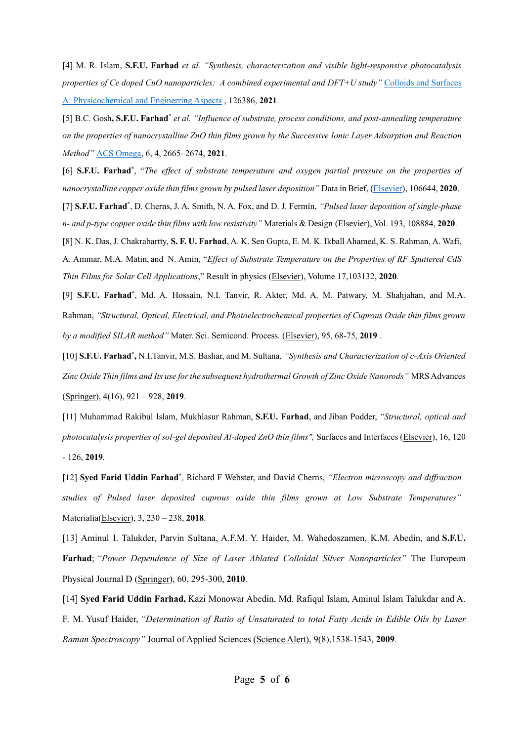[4] M. R. Islam, **S.F.U. Farhad** *et al. "Synthesis, characterization and visible light-responsive photocatalysis properties of Ce doped CuO nanoparticles: A combined experimental and DFT+U study"* [Colloids and Surfaces](https://doi.org/10.1016/j.colsurfa.2021.126386)  [A:](https://doi.org/10.1016/j.colsurfa.2021.126386) Physicochemical and Enginerring Aspects , 126386, **2021**.

[5] B.C. Gosh**, S.F.U. Farhad\*** *et al. "Influence of substrate, process conditions, and post-annealing temperature on the properties of nanocrystalline ZnO thin films grown by the Successive Ionic Layer Adsorption and Reaction Method"* [ACS Omega,](https://pubs.acs.org/doi/10.1021/acsomega.0c04837) 6, 4, 2665–2674, **2021**.

[6] **S.F.U. Farhad\*** , "*The effect of substrate temperature and oxygen partial pressure on the properties of nanocrystalline copper oxide thin films grown by pulsed laser deposition"* Data in Brief, [\(Elsevier\)](https://www.sciencedirect.com/science/article/pii/S2352340920315249), 106644, **2020**.

[7] **S.F.U. Farhad \*** , D. Cherns, J. A. Smith, N. A. Fox, and D. J. Fermín, *"Pulsed laser deposition of single-phase n- and p-type copper oxide thin films with low resistivity"* Materials & Design [\(Elsevier\)](https://doi.org/10.1016/j.matdes.2020.108848), Vol. 193, 108884, **2020**.

[8] N. K. Das, J. Chakrabartty, **S. F. U. Farhad**, A. K. Sen Gupta, E. M. K. Ikball Ahamed, K. S. Rahman, A. Wafi, A. Ammar, M.A. Matin, and N. Amin, "*Effect of Substrate Temperature on the Properties of RF Sputtered CdS Thin Films for Solar Cell Applications*," Result in physics [\(Elsevier\)](https://www.sciencedirect.com/science/article/pii/S2211379720300401#!), Volume 17,103132, **2020**.

[9] **S.F.U. Farhad\*** , Md. A. Hossain, N.I. Tanvir, R. Akter, Md. A. M. Patwary, M. Shahjahan, and M.A. Rahman, *"Structural, Optical, Electrical, and Photoelectrochemical properties of Cuprous Oxide thin films grown by a modified SILAR method"* Mater. Sci. Semicond. Process. [\(Elsevier\)](https://www.sciencedirect.com/science/article/abs/pii/S1369800118317773), 95, 68-75, **2019** .

[10] **S.F.U. Farhad\* ,** N.I.Tanvir, M.S. Bashar, and M. Sultana, *"Synthesis and Characterization of c-Axis Oriented Zinc Oxide Thin films and Its use for the subsequent hydrothermal Growth of Zinc Oxide Nanorods"* MRS Advances [\(Springer\)](https://link.springer.com/article/10.1557%2Fadv.2019.65), 4(16), 921 – 928, **2019**.

[11] Muhammad Rakibul Islam, Mukhlasur Rahman, **S.F.U. Farhad**, and Jiban Podder, *"Structural, optical and photocatalysis properties of sol-gel deposited Al-doped ZnO thin films",* Surfaces and Interfaces [\(Elsevier\)](https://www.sciencedirect.com/science/article/pii/S2468023019300860), 16, 120 - 126, **2019***.*

[12] Syed Farid Uddin Farhad<sup>\*</sup>, Richard F Webster, and David Cherns, "Electron microscopy and diffraction *studies of Pulsed laser deposited cuprous oxide thin films grown at Low Substrate Temperatures"*  Materialia[\(Elsevier\)](https://www.sciencedirect.com/science/article/pii/S2589152918300978), 3, 230 – 238, **2018**.

[13] Aminul I. Talukder, Parvin Sultana, A.F.M. Y. Haider, M. Wahedoszamen, K.M. Abedin, and **S.F.U. Farhad**; *"Power Dependence of Size of Laser Ablated Colloidal Silver Nanoparticles"* The European Physical Journal D [\(Springer\)](https://link.springer.com/article/10.1140/epjd/e2010-00204-7), 60, 295-300, **2010**.

[14] **Syed Farid Uddin Farhad,** Kazi Monowar Abedin, Md. Rafiqul Islam, Aminul Islam Talukdar and A. F. M. Yusuf Haider, *"Determination of Ratio of Unsaturated to total Fatty Acids in Edible Oils by Laser Raman Spectroscopy"* Journal of Applied Sciences [\(Science Alert\)](https://scialert.net/fulltextmobile/?doi=jas.2009.1538.1543), 9(8),1538-1543, **2009***.*